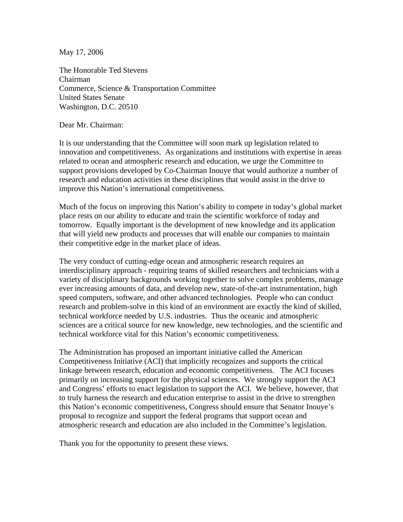May 17, 2006

The Honorable Ted Stevens Chairman Commerce, Science & Transportation Committee United States Senate Washington, D.C. 20510

Dear Mr. Chairman:

It is our understanding that the Committee will soon mark up legislation related to innovation and competitiveness. As organizations and institutions with expertise in areas related to ocean and atmospheric research and education, we urge the Committee to support provisions developed by Co-Chairman Inouye that would authorize a number of research and education activities in these disciplines that would assist in the drive to improve this Nation's international competitiveness.

Much of the focus on improving this Nation's ability to compete in today's global market place rests on our ability to educate and train the scientific workforce of today and tomorrow. Equally important is the development of new knowledge and its application that will yield new products and processes that will enable our companies to maintain their competitive edge in the market place of ideas.

The very conduct of cutting-edge ocean and atmospheric research requires an interdisciplinary approach - requiring teams of skilled researchers and technicians with a variety of disciplinary backgrounds working together to solve complex problems, manage ever increasing amounts of data, and develop new, state-of-the-art instrumentation, high speed computers, software, and other advanced technologies. People who can conduct research and problem-solve in this kind of an environment are exactly the kind of skilled, technical workforce needed by U.S. industries. Thus the oceanic and atmospheric sciences are a critical source for new knowledge, new technologies, and the scientific and technical workforce vital for this Nation's economic competitiveness.

The Administration has proposed an important initiative called the American Competitiveness Initiative (ACI) that implicitly recognizes and supports the critical linkage between research, education and economic competitiveness. The ACI focuses primarily on increasing support for the physical sciences. We strongly support the ACI and Congress' efforts to enact legislation to support the ACI. We believe, however, that to truly harness the research and education enterprise to assist in the drive to strengthen this Nation's economic competitiveness, Congress should ensure that Senator Inouye's proposal to recognize and support the federal programs that support ocean and atmospheric research and education are also included in the Committee's legislation.

Thank you for the opportunity to present these views.